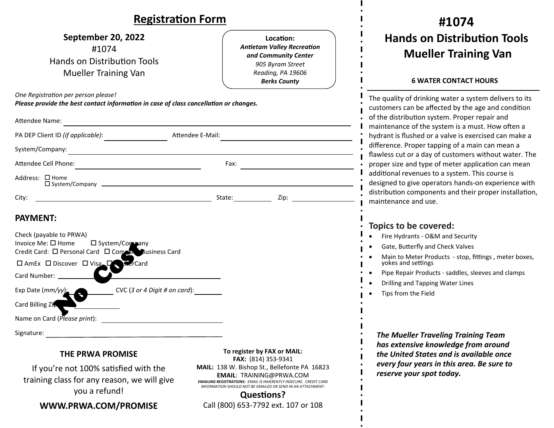| <b>Registration Form</b>                                                                                                                                                                                                                                                                |                                                                                                                                                                                                                                                                                                                                              | #1074                                                                                                                                                                                                                                                                                                                                                                                                                                        |  |
|-----------------------------------------------------------------------------------------------------------------------------------------------------------------------------------------------------------------------------------------------------------------------------------------|----------------------------------------------------------------------------------------------------------------------------------------------------------------------------------------------------------------------------------------------------------------------------------------------------------------------------------------------|----------------------------------------------------------------------------------------------------------------------------------------------------------------------------------------------------------------------------------------------------------------------------------------------------------------------------------------------------------------------------------------------------------------------------------------------|--|
| September 20, 2022<br>#1074<br><b>Hands on Distribution Tools</b><br><b>Mueller Training Van</b>                                                                                                                                                                                        | Location:<br><b>Antietam Valley Recreation</b><br>and Community Center<br>905 Byram Street<br>Reading, PA 19606<br><b>Berks County</b>                                                                                                                                                                                                       | <b>Hands on Distribution Tools</b><br><b>Mueller Training Van</b><br><b>6 WATER CONTACT HOURS</b>                                                                                                                                                                                                                                                                                                                                            |  |
| One Registration per person please!<br>Please provide the best contact information in case of class cancellation or changes.<br>Attendee Name:                                                                                                                                          |                                                                                                                                                                                                                                                                                                                                              | The quality of drinking water a system delivers to its<br>customers can be affected by the age and condition<br>of the distribution system. Proper repair and<br>maintenance of the system is a must. How often a<br>hydrant is flushed or a valve is exercised can make a<br>difference. Proper tapping of a main can mean a<br>flawless cut or a day of customers without water. The<br>proper size and type of meter application can mean |  |
| PA DEP Client ID (if applicable):<br>Attendee E-Mail:                                                                                                                                                                                                                                   |                                                                                                                                                                                                                                                                                                                                              |                                                                                                                                                                                                                                                                                                                                                                                                                                              |  |
| System/Company:<br>Attendee Cell Phone:<br>Fax:                                                                                                                                                                                                                                         |                                                                                                                                                                                                                                                                                                                                              |                                                                                                                                                                                                                                                                                                                                                                                                                                              |  |
| Address: □ Home<br>$\square$ System/Company $\square$<br>City:                                                                                                                                                                                                                          | <u> 1980 - Johann Barn, mars ann an t-Amhain Aonaich an t-Aonaich an t-Aonaich ann an t-Aonaich ann an t-Aonaich</u><br>State: and the state of the state of the state of the state of the state of the state of the state of the state<br>Zip:                                                                                              | additional revenues to a system. This course is<br>designed to give operators hands-on experience with<br>distribution components and their proper installation,<br>maintenance and use.                                                                                                                                                                                                                                                     |  |
| <b>PAYMENT:</b><br>Check (payable to PRWA)<br>Invoice Me: □ Home<br>□ System/Commany<br>Credit Card: □ Personal Card □ Company Business Card<br>□ AmEx □ Discover □ Visa □ SterCard<br>Card Number: ______<br>CVC (3 or 4 Digit # on card):<br>Exp Date $(mm/yy)$ :<br>Card Billing Zip |                                                                                                                                                                                                                                                                                                                                              | Topics to be covered:<br>Fire Hydrants - O&M and Security<br>Gate, Butterfly and Check Valves<br>Main to Meter Products - stop, fittings, meter boxes,<br>yokes and settings<br>Pipe Repair Products - saddles, sleeves and clamps<br>Drilling and Tapping Water Lines<br>Tips from the Field                                                                                                                                                |  |
| Name on Card (Please print):                                                                                                                                                                                                                                                            |                                                                                                                                                                                                                                                                                                                                              |                                                                                                                                                                                                                                                                                                                                                                                                                                              |  |
| Signature:<br>THE PRWA PROMISE<br>If you're not 100% satisfied with the<br>training class for any reason, we will give<br>you a refund!<br>WWW.PRWA.COM/PROMISE                                                                                                                         | To register by FAX or MAIL:<br>FAX: (814) 353-9341<br>MAIL: 138 W. Bishop St., Bellefonte PA 16823<br><b>EMAIL: TRAINING@PRWA.COM</b><br><b>EMAILING REGISTRATIONS: EMAIL IS INHERENTLY INSECURE. CREDIT CARD</b><br>INFORMATION SHOULD NOT BE EMAILED OR SEND IN AN ATTACHMENT.<br><b>Questions?</b><br>Call (800) 653-7792 ext. 107 or 108 | <b>The Mueller Traveling Training Team</b><br>has extensive knowledge from around<br>the United States and is available once<br>every four years in this area. Be sure to<br>reserve your spot today.                                                                                                                                                                                                                                        |  |

 $\mathbf{I}$ 

 $\blacksquare$  $\mathbf{I}$